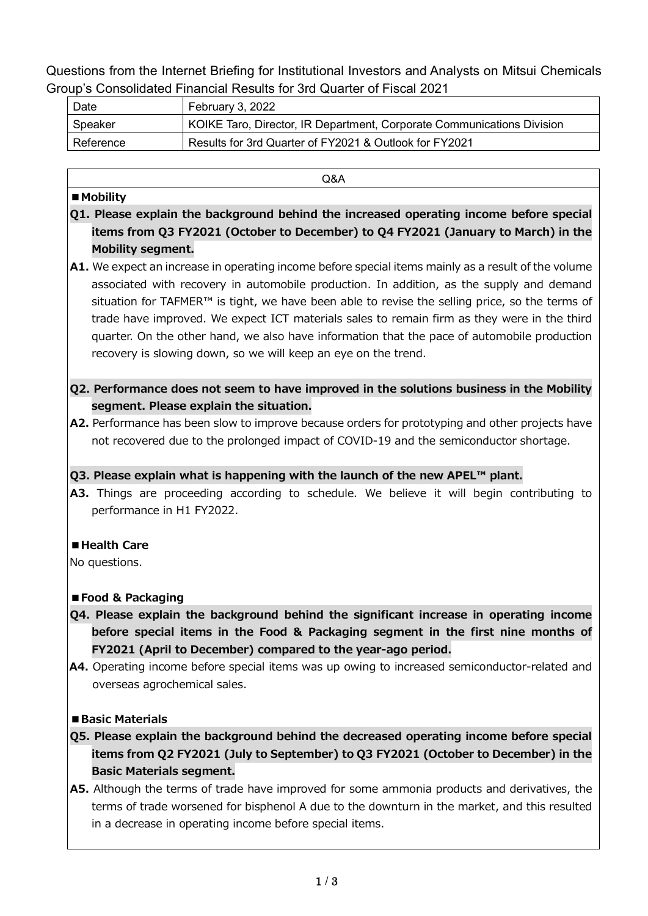Questions from the Internet Briefing for Institutional Investors and Analysts on Mitsui Chemicals Group's Consolidated Financial Results for 3rd Quarter of Fiscal 2021

| Date      | February 3, 2022                                                       |
|-----------|------------------------------------------------------------------------|
| Speaker   | KOIKE Taro, Director, IR Department, Corporate Communications Division |
| Reference | Results for 3rd Quarter of FY2021 & Outlook for FY2021                 |

Q&A

#### **■Mobility**

- **Q1. Please explain the background behind the increased operating income before special items from Q3 FY2021 (October to December) to Q4 FY2021 (January to March) in the Mobility segment.**
- **A1.** We expect an increase in operating income before special items mainly as a result of the volume associated with recovery in automobile production. In addition, as the supply and demand situation for TAFMER™ is tight, we have been able to revise the selling price, so the terms of trade have improved. We expect ICT materials sales to remain firm as they were in the third quarter. On the other hand, we also have information that the pace of automobile production recovery is slowing down, so we will keep an eye on the trend.

## **Q2. Performance does not seem to have improved in the solutions business in the Mobility segment. Please explain the situation.**

**A2.** Performance has been slow to improve because orders for prototyping and other projects have not recovered due to the prolonged impact of COVID-19 and the semiconductor shortage.

## **Q3. Please explain what is happening with the launch of the new APEL™ plant.**

**A3.** Things are proceeding according to schedule. We believe it will begin contributing to performance in H1 FY2022.

## **■Health Care**

No questions.

## **■Food & Packaging**

- **Q4. Please explain the background behind the significant increase in operating income before special items in the Food & Packaging segment in the first nine months of FY2021 (April to December) compared to the year-ago period.**
- **A4.** Operating income before special items was up owing to increased semiconductor-related and overseas agrochemical sales.

#### **■Basic Materials**

- **Q5. Please explain the background behind the decreased operating income before special items from Q2 FY2021 (July to September) to Q3 FY2021 (October to December) in the Basic Materials segment.**
- **A5.** Although the terms of trade have improved for some ammonia products and derivatives, the terms of trade worsened for bisphenol A due to the downturn in the market, and this resulted in a decrease in operating income before special items.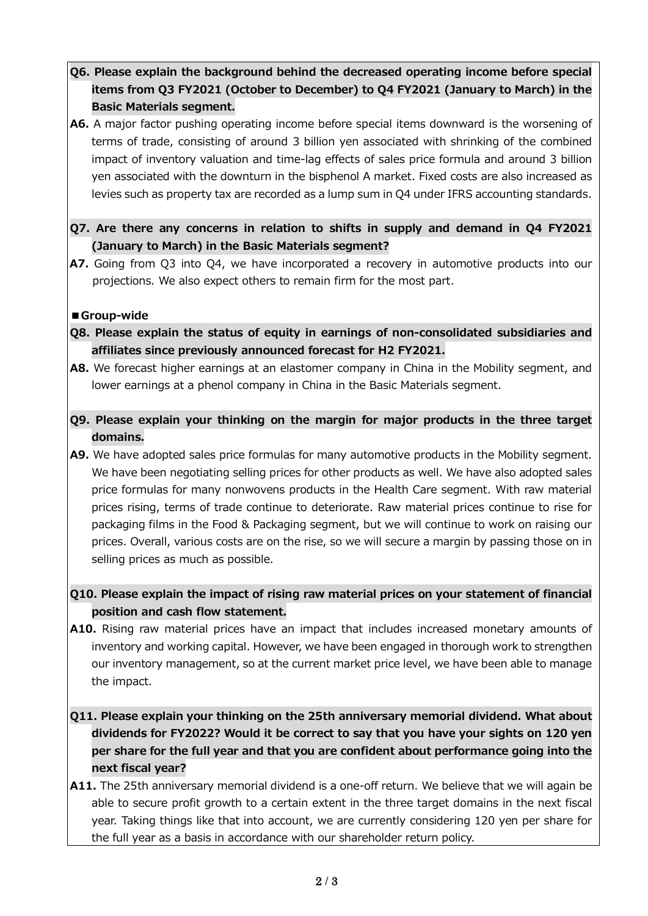# **Q6. Please explain the background behind the decreased operating income before special items from Q3 FY2021 (October to December) to Q4 FY2021 (January to March) in the Basic Materials segment.**

- **A6.** A major factor pushing operating income before special items downward is the worsening of terms of trade, consisting of around 3 billion yen associated with shrinking of the combined impact of inventory valuation and time-lag effects of sales price formula and around 3 billion yen associated with the downturn in the bisphenol A market. Fixed costs are also increased as levies such as property tax are recorded as a lump sum in Q4 under IFRS accounting standards.
- **Q7. Are there any concerns in relation to shifts in supply and demand in Q4 FY2021 (January to March) in the Basic Materials segment?**
- **A7.** Going from Q3 into Q4, we have incorporated a recovery in automotive products into our projections. We also expect others to remain firm for the most part.

#### **■Group-wide**

- **Q8. Please explain the status of equity in earnings of non-consolidated subsidiaries and affiliates since previously announced forecast for H2 FY2021.**
- **A8.** We forecast higher earnings at an elastomer company in China in the Mobility segment, and lower earnings at a phenol company in China in the Basic Materials segment.
- **Q9. Please explain your thinking on the margin for major products in the three target domains.**
- **A9.** We have adopted sales price formulas for many automotive products in the Mobility segment. We have been negotiating selling prices for other products as well. We have also adopted sales price formulas for many nonwovens products in the Health Care segment. With raw material prices rising, terms of trade continue to deteriorate. Raw material prices continue to rise for packaging films in the Food & Packaging segment, but we will continue to work on raising our prices. Overall, various costs are on the rise, so we will secure a margin by passing those on in selling prices as much as possible.
- **Q10. Please explain the impact of rising raw material prices on your statement of financial position and cash flow statement.**
- **A10.** Rising raw material prices have an impact that includes increased monetary amounts of inventory and working capital. However, we have been engaged in thorough work to strengthen our inventory management, so at the current market price level, we have been able to manage the impact.
- **Q11. Please explain your thinking on the 25th anniversary memorial dividend. What about dividends for FY2022? Would it be correct to say that you have your sights on 120 yen per share for the full year and that you are confident about performance going into the next fiscal year?**
- **A11.** The 25th anniversary memorial dividend is a one-off return. We believe that we will again be able to secure profit growth to a certain extent in the three target domains in the next fiscal year. Taking things like that into account, we are currently considering 120 yen per share for the full year as a basis in accordance with our shareholder return policy.